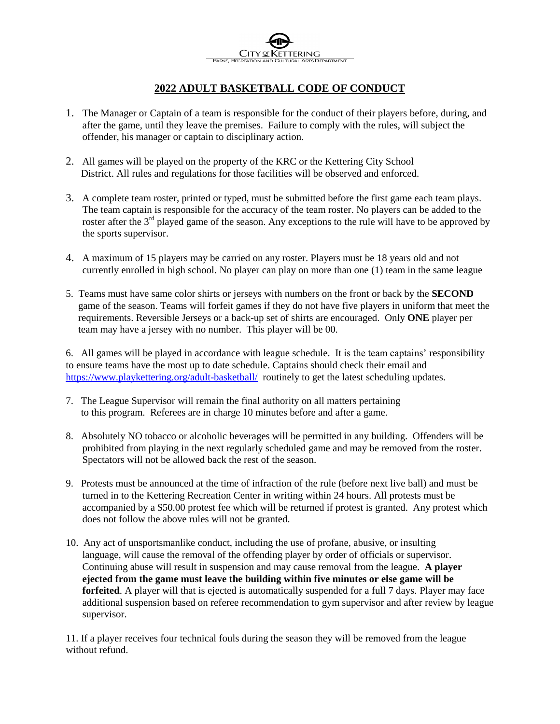## **2022 ADULT BASKETBALL CODE OF CONDUCT**

- 1. The Manager or Captain of a team is responsible for the conduct of their players before, during, and after the game, until they leave the premises. Failure to comply with the rules, will subject the offender, his manager or captain to disciplinary action.
- 2. All games will be played on the property of the KRC or the Kettering City School District. All rules and regulations for those facilities will be observed and enforced.
- 3. A complete team roster, printed or typed, must be submitted before the first game each team plays. The team captain is responsible for the accuracy of the team roster. No players can be added to the roster after the 3<sup>rd</sup> played game of the season. Any exceptions to the rule will have to be approved by the sports supervisor.
- 4. A maximum of 15 players may be carried on any roster. Players must be 18 years old and not currently enrolled in high school. No player can play on more than one (1) team in the same league
- 5. Teams must have same color shirts or jerseys with numbers on the front or back by the **SECOND** game of the season. Teams will forfeit games if they do not have five players in uniform that meet the requirements. Reversible Jerseys or a back-up set of shirts are encouraged. Only **ONE** player per team may have a jersey with no number. This player will be 00.

6. All games will be played in accordance with league schedule. It is the team captains' responsibility to ensure teams have the most up to date schedule. Captains should check their email and <https://www.playkettering.org/adult-basketball/>routinely to get the latest scheduling updates.

- 7. The League Supervisor will remain the final authority on all matters pertaining to this program. Referees are in charge 10 minutes before and after a game.
- 8. Absolutely NO tobacco or alcoholic beverages will be permitted in any building. Offenders will be prohibited from playing in the next regularly scheduled game and may be removed from the roster. Spectators will not be allowed back the rest of the season.
- 9. Protests must be announced at the time of infraction of the rule (before next live ball) and must be turned in to the Kettering Recreation Center in writing within 24 hours. All protests must be accompanied by a \$50.00 protest fee which will be returned if protest is granted. Any protest which does not follow the above rules will not be granted.
- 10. Any act of unsportsmanlike conduct, including the use of profane, abusive, or insulting language, will cause the removal of the offending player by order of officials or supervisor. Continuing abuse will result in suspension and may cause removal from the league. **A player ejected from the game must leave the building within five minutes or else game will be forfeited**. A player will that is ejected is automatically suspended for a full 7 days. Player may face additional suspension based on referee recommendation to gym supervisor and after review by league supervisor.

11. If a player receives four technical fouls during the season they will be removed from the league without refund.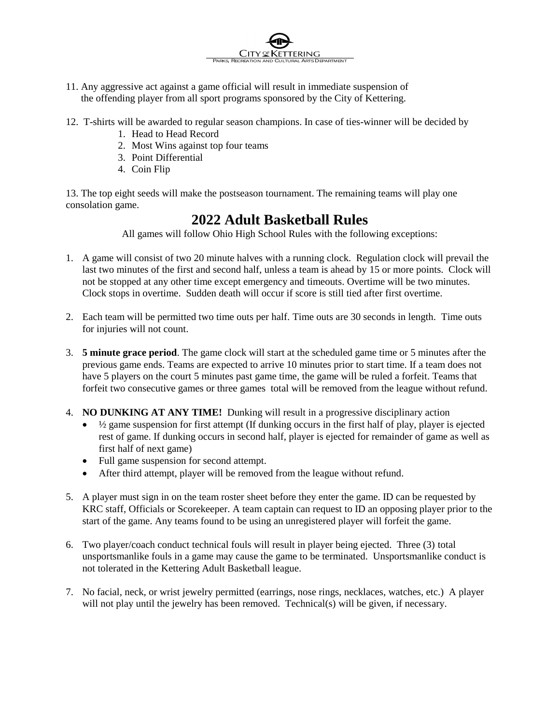11. Any aggressive act against a game official will result in immediate suspension of the offending player from all sport programs sponsored by the City of Kettering.

 $C$ ity

12. T-shirts will be awarded to regular season champions. In case of ties-winner will be decided by

PARKS, RECREATION AND CULTURAL ARTS DEPARTMENT

ERING

- 1. Head to Head Record
- 2. Most Wins against top four teams
- 3. Point Differential
- 4. Coin Flip

13. The top eight seeds will make the postseason tournament. The remaining teams will play one consolation game.

## **2022 Adult Basketball Rules**

All games will follow Ohio High School Rules with the following exceptions:

- 1. A game will consist of two 20 minute halves with a running clock. Regulation clock will prevail the last two minutes of the first and second half, unless a team is ahead by 15 or more points. Clock will not be stopped at any other time except emergency and timeouts. Overtime will be two minutes. Clock stops in overtime. Sudden death will occur if score is still tied after first overtime.
- 2. Each team will be permitted two time outs per half. Time outs are 30 seconds in length. Time outs for injuries will not count.
- 3. **5 minute grace period**. The game clock will start at the scheduled game time or 5 minutes after the previous game ends. Teams are expected to arrive 10 minutes prior to start time. If a team does not have 5 players on the court 5 minutes past game time, the game will be ruled a forfeit. Teams that forfeit two consecutive games or three games total will be removed from the league without refund.
- 4. **NO DUNKING AT ANY TIME!** Dunking will result in a progressive disciplinary action
	- $\bullet$   $\frac{1}{2}$  game suspension for first attempt (If dunking occurs in the first half of play, player is ejected rest of game. If dunking occurs in second half, player is ejected for remainder of game as well as first half of next game)
	- Full game suspension for second attempt.
	- After third attempt, player will be removed from the league without refund.
- 5. A player must sign in on the team roster sheet before they enter the game. ID can be requested by KRC staff, Officials or Scorekeeper. A team captain can request to ID an opposing player prior to the start of the game. Any teams found to be using an unregistered player will forfeit the game.
- 6. Two player/coach conduct technical fouls will result in player being ejected. Three (3) total unsportsmanlike fouls in a game may cause the game to be terminated. Unsportsmanlike conduct is not tolerated in the Kettering Adult Basketball league.
- 7. No facial, neck, or wrist jewelry permitted (earrings, nose rings, necklaces, watches, etc.) A player will not play until the jewelry has been removed. Technical(s) will be given, if necessary.